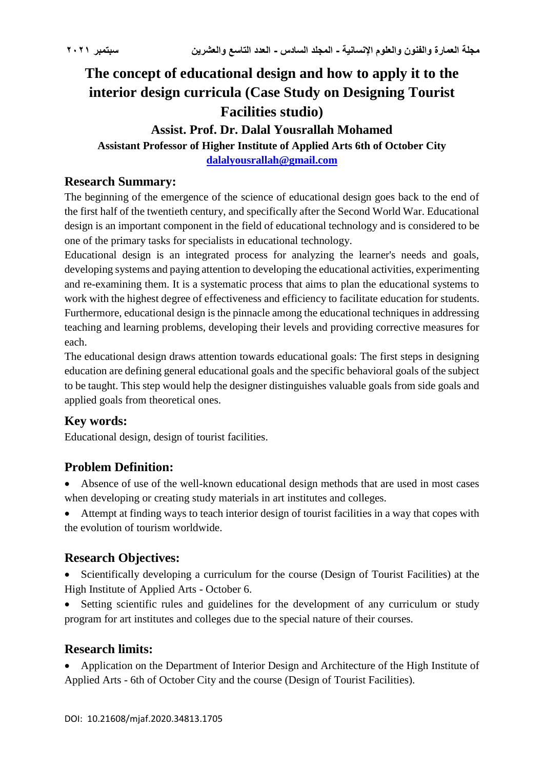# **The concept of educational design and how to apply it to the interior design curricula (Case Study on Designing Tourist Facilities studio)**

# **Assist. Prof. Dr. Dalal Yousrallah Mohamed**

#### **Assistant Professor of Higher Institute of Applied Arts 6th of October City [dalalyousrallah@gmail.com](mailto:dalalyousrallah@gmail.com)**

### **Research Summary:**

The beginning of the emergence of the science of educational design goes back to the end of the first half of the twentieth century, and specifically after the Second World War. Educational design is an important component in the field of educational technology and is considered to be one of the primary tasks for specialists in educational technology.

Educational design is an integrated process for analyzing the learner's needs and goals, developing systems and paying attention to developing the educational activities, experimenting and re-examining them. It is a systematic process that aims to plan the educational systems to work with the highest degree of effectiveness and efficiency to facilitate education for students. Furthermore, educational design is the pinnacle among the educational techniques in addressing teaching and learning problems, developing their levels and providing corrective measures for each.

The educational design draws attention towards educational goals: The first steps in designing education are defining general educational goals and the specific behavioral goals of the subject to be taught. This step would help the designer distinguishes valuable goals from side goals and applied goals from theoretical ones.

# **Key words:**

Educational design, design of tourist facilities.

# **Problem Definition:**

- Absence of use of the well-known educational design methods that are used in most cases when developing or creating study materials in art institutes and colleges.
- Attempt at finding ways to teach interior design of tourist facilities in a way that copes with the evolution of tourism worldwide.

# **Research Objectives:**

 Scientifically developing a curriculum for the course (Design of Tourist Facilities) at the High Institute of Applied Arts - October 6.

 Setting scientific rules and guidelines for the development of any curriculum or study program for art institutes and colleges due to the special nature of their courses.

# **Research limits:**

 Application on the Department of Interior Design and Architecture of the High Institute of Applied Arts - 6th of October City and the course (Design of Tourist Facilities).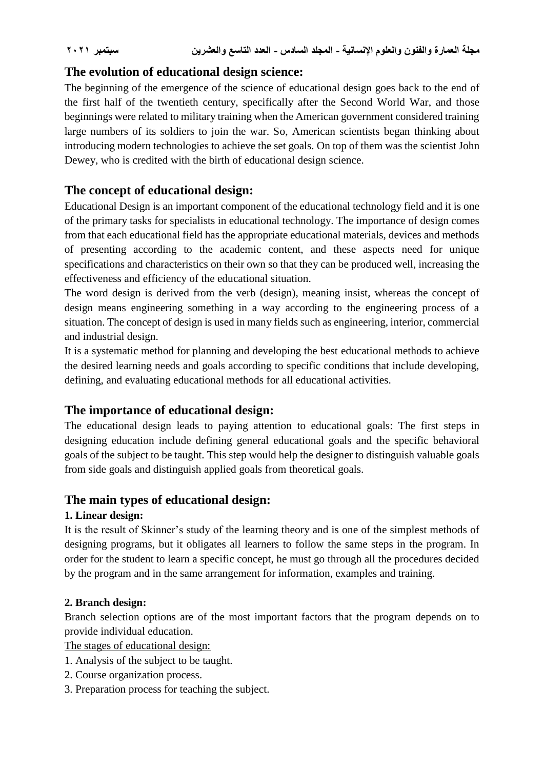# **The evolution of educational design science:**

The beginning of the emergence of the science of educational design goes back to the end of the first half of the twentieth century, specifically after the Second World War, and those beginnings were related to military training when the American government considered training large numbers of its soldiers to join the war. So, American scientists began thinking about introducing modern technologies to achieve the set goals. On top of them was the scientist John Dewey, who is credited with the birth of educational design science.

## **The concept of educational design:**

Educational Design is an important component of the educational technology field and it is one of the primary tasks for specialists in educational technology. The importance of design comes from that each educational field has the appropriate educational materials, devices and methods of presenting according to the academic content, and these aspects need for unique specifications and characteristics on their own so that they can be produced well, increasing the effectiveness and efficiency of the educational situation.

The word design is derived from the verb (design), meaning insist, whereas the concept of design means engineering something in a way according to the engineering process of a situation. The concept of design is used in many fields such as engineering, interior, commercial and industrial design.

It is a systematic method for planning and developing the best educational methods to achieve the desired learning needs and goals according to specific conditions that include developing, defining, and evaluating educational methods for all educational activities.

# **The importance of educational design:**

The educational design leads to paying attention to educational goals: The first steps in designing education include defining general educational goals and the specific behavioral goals of the subject to be taught. This step would help the designer to distinguish valuable goals from side goals and distinguish applied goals from theoretical goals.

### **The main types of educational design:**

### **1. Linear design:**

It is the result of Skinner's study of the learning theory and is one of the simplest methods of designing programs, but it obligates all learners to follow the same steps in the program. In order for the student to learn a specific concept, he must go through all the procedures decided by the program and in the same arrangement for information, examples and training.

#### **2. Branch design:**

Branch selection options are of the most important factors that the program depends on to provide individual education.

The stages of educational design:

- 1. Analysis of the subject to be taught.
- 2. Course organization process.
- 3. Preparation process for teaching the subject.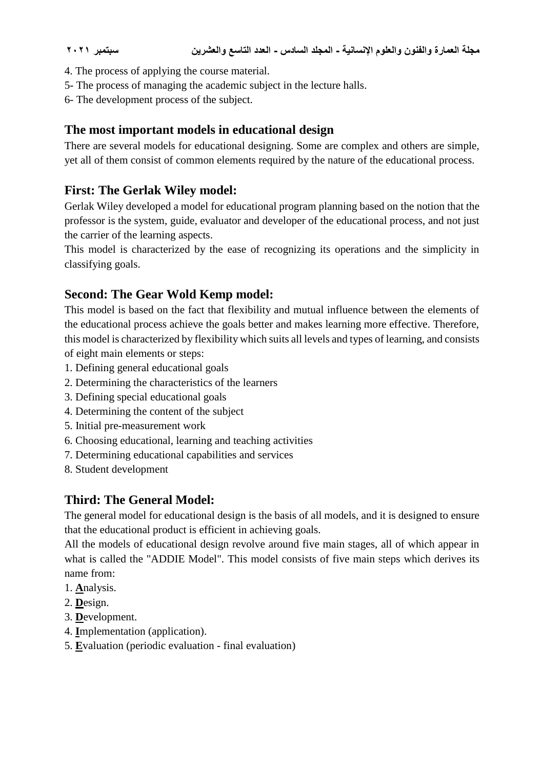- 4. The process of applying the course material.
- 5- The process of managing the academic subject in the lecture halls.
- 6- The development process of the subject.

# **The most important models in educational design**

There are several models for educational designing. Some are complex and others are simple, yet all of them consist of common elements required by the nature of the educational process.

# **First: The Gerlak Wiley model:**

Gerlak Wiley developed a model for educational program planning based on the notion that the professor is the system, guide, evaluator and developer of the educational process, and not just the carrier of the learning aspects.

This model is characterized by the ease of recognizing its operations and the simplicity in classifying goals.

# **Second: The Gear Wold Kemp model:**

This model is based on the fact that flexibility and mutual influence between the elements of the educational process achieve the goals better and makes learning more effective. Therefore, this model is characterized by flexibility which suits all levels and types of learning, and consists of eight main elements or steps:

- 1. Defining general educational goals
- 2. Determining the characteristics of the learners
- 3. Defining special educational goals
- 4. Determining the content of the subject
- 5. Initial pre-measurement work
- 6. Choosing educational, learning and teaching activities
- 7. Determining educational capabilities and services
- 8. Student development

# **Third: The General Model:**

The general model for educational design is the basis of all models, and it is designed to ensure that the educational product is efficient in achieving goals.

All the models of educational design revolve around five main stages, all of which appear in what is called the "ADDIE Model". This model consists of five main steps which derives its name from:

- 1. **A**nalysis.
- 2. **D**esign.
- 3. **D**evelopment.
- 4. **I**mplementation (application).
- 5. **E**valuation (periodic evaluation final evaluation)